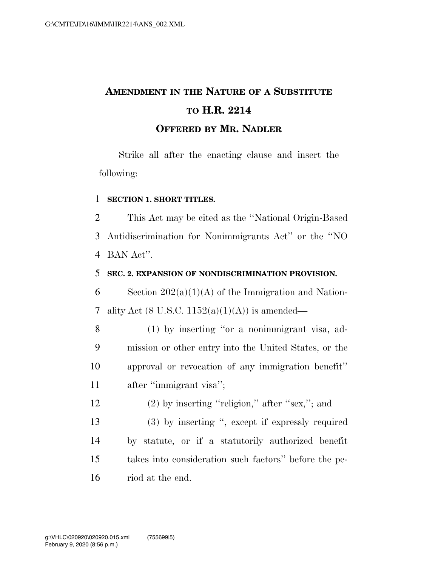# **AMENDMENT IN THE NATURE OF A SUBSTITUTE TO H.R. 2214 OFFERED BY MR. NADLER**

Strike all after the enacting clause and insert the following:

#### 1 **SECTION 1. SHORT TITLES.**

2 This Act may be cited as the ''National Origin-Based 3 Antidiscrimination for Nonimmigrants Act'' or the ''NO 4 BAN Act''.

### 5 **SEC. 2. EXPANSION OF NONDISCRIMINATION PROVISION.**

6 Section  $202(a)(1)(A)$  of the Immigration and Nation-7 ality Act (8 U.S.C.  $1152(a)(1)(A)$ ) is amended—

 (1) by inserting ''or a nonimmigrant visa, ad- mission or other entry into the United States, or the approval or revocation of any immigration benefit'' 11 after "immigrant visa";

12 (2) by inserting "religion," after "sex,"; and

 (3) by inserting '', except if expressly required by statute, or if a statutorily authorized benefit takes into consideration such factors'' before the pe-riod at the end.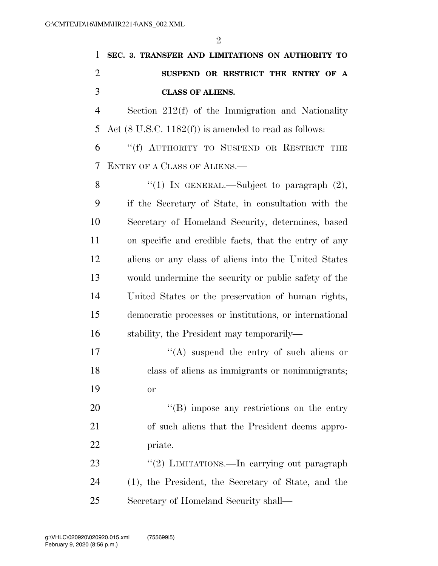| 1              | SEC. 3. TRANSFER AND LIMITATIONS ON AUTHORITY TO                 |
|----------------|------------------------------------------------------------------|
| $\overline{2}$ | SUSPEND OR RESTRICT THE ENTRY OF A                               |
| 3              | <b>CLASS OF ALIENS.</b>                                          |
| $\overline{4}$ | Section $212(f)$ of the Immigration and Nationality              |
| 5              | Act $(8 \text{ U.S.C. } 1182(f))$ is amended to read as follows: |
| 6              | "(f) AUTHORITY TO SUSPEND OR RESTRICT THE                        |
| 7              | ENTRY OF A CLASS OF ALIENS.                                      |
| 8              | "(1) IN GENERAL.—Subject to paragraph $(2)$ ,                    |
| 9              | if the Secretary of State, in consultation with the              |
| 10             | Secretary of Homeland Security, determines, based                |
| 11             | on specific and credible facts, that the entry of any            |
| 12             | aliens or any class of aliens into the United States             |
| 13             | would undermine the security or public safety of the             |
| 14             | United States or the preservation of human rights,               |
| 15             | democratic processes or institutions, or international           |
| 16             | stability, the President may temporarily—                        |
| 17             | $\lq\lq$ suspend the entry of such aliens or                     |
| 18             | class of aliens as immigrants or nonimmigrants;                  |
| 19             | <b>or</b>                                                        |
| 20             | "(B) impose any restrictions on the entry                        |
| 21             | of such aliens that the President deems appro-                   |
| 22             | priate.                                                          |
| 23             | "(2) LIMITATIONS.—In carrying out paragraph                      |
| 24             | (1), the President, the Secretary of State, and the              |
| 25             | Secretary of Homeland Security shall—                            |

February 9, 2020 (8:56 p.m.) g:\VHLC\020920\020920.015.xml (755699|5)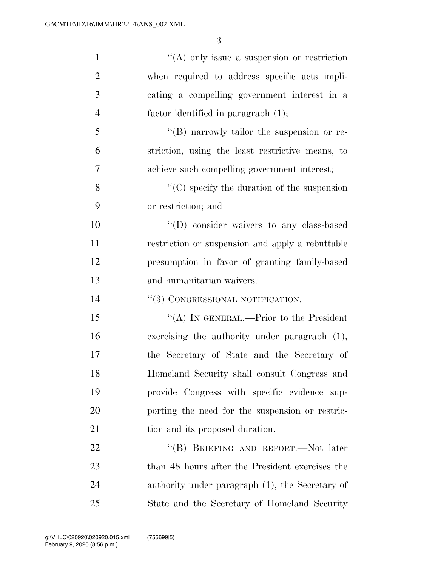| $\mathbf{1}$   | $\lq\lq$ only issue a suspension or restriction    |
|----------------|----------------------------------------------------|
| $\overline{2}$ | when required to address specific acts impli-      |
| 3              | cating a compelling government interest in a       |
| $\overline{4}$ | factor identified in paragraph (1);                |
| 5              | $\lq\lq (B)$ narrowly tailor the suspension or re- |
| 6              | striction, using the least restrictive means, to   |
| 7              | achieve such compelling government interest;       |
| 8              | $\lq\lq$ specify the duration of the suspension    |
| 9              | or restriction; and                                |
| 10             | $\lq\lq$ consider waivers to any class-based       |
| 11             | restriction or suspension and apply a rebuttable   |
| 12             | presumption in favor of granting family-based      |
| 13             | and humanitarian waivers.                          |
| 14             | "(3) CONGRESSIONAL NOTIFICATION.-                  |
| 15             | "(A) IN GENERAL.—Prior to the President            |
| 16             | exercising the authority under paragraph $(1)$ ,   |
| 17             | the Secretary of State and the Secretary of        |
| 18             | Homeland Security shall consult Congress and       |
| 19             | provide Congress with specific evidence sup-       |
| 20             | porting the need for the suspension or restric-    |
| 21             | tion and its proposed duration.                    |
| 22             | "(B) BRIEFING AND REPORT.—Not later                |
| 23             | than 48 hours after the President exercises the    |
| 24             | authority under paragraph (1), the Secretary of    |
| 25             | State and the Secretary of Homeland Security       |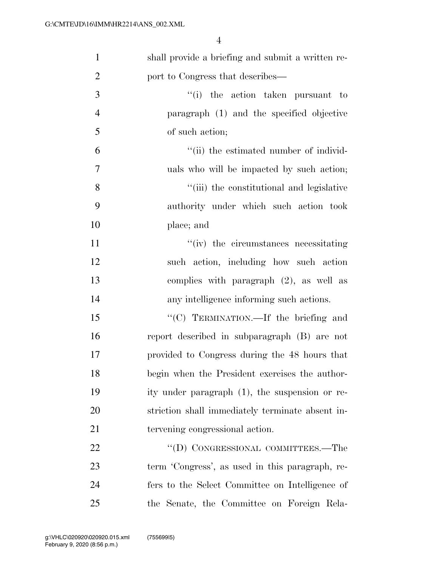| $\mathbf{1}$   | shall provide a briefing and submit a written re- |
|----------------|---------------------------------------------------|
| $\overline{2}$ | port to Congress that describes—                  |
| 3              | "(i) the action taken pursuant to                 |
| $\overline{4}$ | paragraph (1) and the specified objective         |
| 5              | of such action;                                   |
| 6              | "(ii) the estimated number of individ-            |
| $\tau$         | uals who will be impacted by such action;         |
| 8              | "(iii) the constitutional and legislative         |
| 9              | authority under which such action took            |
| 10             | place; and                                        |
| 11             | "(iv) the circumstances necessitating             |
| 12             | such action, including how such action            |
| 13             | complies with paragraph $(2)$ , as well as        |
| 14             | any intelligence informing such actions.          |
| 15             | "(C) TERMINATION.—If the briefing and             |
| 16             | report described in subparagraph (B) are not      |
| 17             | provided to Congress during the 48 hours that     |
| 18             | begin when the President exercises the author-    |
| 19             | ity under paragraph (1), the suspension or re-    |
| 20             | striction shall immediately terminate absent in-  |
| 21             | tervening congressional action.                   |
| 22             | "(D) CONGRESSIONAL COMMITTEES.—The                |
| 23             | term 'Congress', as used in this paragraph, re-   |
| 24             | fers to the Select Committee on Intelligence of   |
| 25             | the Senate, the Committee on Foreign Rela-        |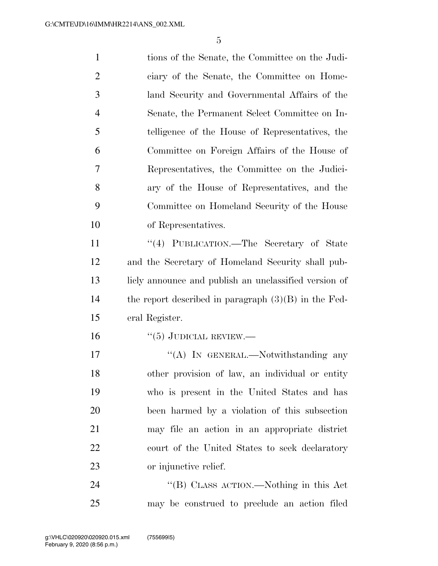| $\mathbf{1}$   | tions of the Senate, the Committee on the Judi-        |
|----------------|--------------------------------------------------------|
| $\overline{2}$ | ciary of the Senate, the Committee on Home-            |
| 3              | land Security and Governmental Affairs of the          |
| $\overline{4}$ | Senate, the Permanent Select Committee on In-          |
| 5              | telligence of the House of Representatives, the        |
| 6              | Committee on Foreign Affairs of the House of           |
| 7              | Representatives, the Committee on the Judici-          |
| 8              | ary of the House of Representatives, and the           |
| 9              | Committee on Homeland Security of the House            |
| 10             | of Representatives.                                    |
| 11             | "(4) PUBLICATION.—The Secretary of State               |
| 12             | and the Secretary of Homeland Security shall pub-      |
| 13             | licly announce and publish an unclassified version of  |
| 14             | the report described in paragraph $(3)(B)$ in the Fed- |
| 15             | eral Register.                                         |
| 16             | $``(5)$ JUDICIAL REVIEW.—                              |
| 17             | "(A) IN GENERAL.—Notwithstanding any                   |
| 18             | other provision of law, an individual or entity        |
| 19             | who is present in the United States and has            |
| 20             | been harmed by a violation of this subsection          |
| 21             | may file an action in an appropriate district          |
| 22             | court of the United States to seek declaratory         |
| 23             | or injunctive relief.                                  |
| 24             | "(B) CLASS ACTION.—Nothing in this Act                 |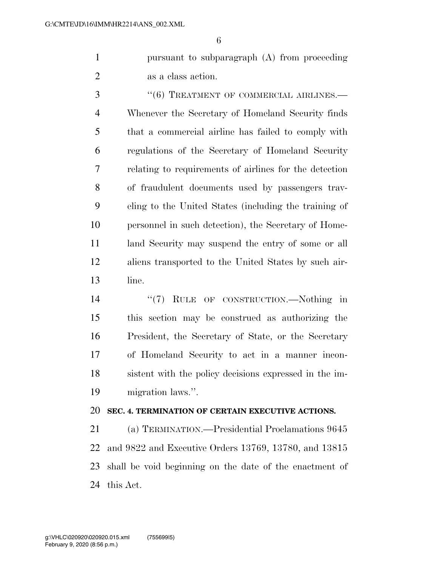pursuant to subparagraph (A) from proceeding as a class action.

 ''(6) TREATMENT OF COMMERCIAL AIRLINES.— Whenever the Secretary of Homeland Security finds that a commercial airline has failed to comply with regulations of the Secretary of Homeland Security relating to requirements of airlines for the detection of fraudulent documents used by passengers trav- eling to the United States (including the training of personnel in such detection), the Secretary of Home-11 land Security may suspend the entry of some or all aliens transported to the United States by such air-line.

 $\frac{1}{2}$  (7) RULE OF CONSTRUCTION.—Nothing in this section may be construed as authorizing the President, the Secretary of State, or the Secretary of Homeland Security to act in a manner incon- sistent with the policy decisions expressed in the im-migration laws.''.

## **SEC. 4. TERMINATION OF CERTAIN EXECUTIVE ACTIONS.**

 (a) TERMINATION.—Presidential Proclamations 9645 and 9822 and Executive Orders 13769, 13780, and 13815 shall be void beginning on the date of the enactment of this Act.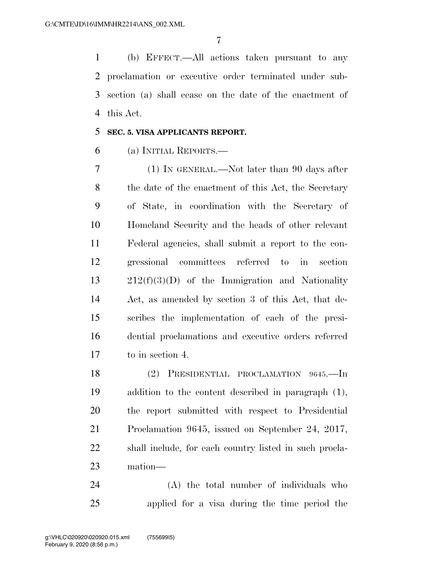(b) EFFECT.—All actions taken pursuant to any proclamation or executive order terminated under sub- section (a) shall cease on the date of the enactment of this Act.

### **SEC. 5. VISA APPLICANTS REPORT.**

(a) INITIAL REPORTS.—

 (1) IN GENERAL.—Not later than 90 days after the date of the enactment of this Act, the Secretary of State, in coordination with the Secretary of Homeland Security and the heads of other relevant Federal agencies, shall submit a report to the con- gressional committees referred to in section 212(f)(3)(D) of the Immigration and Nationality Act, as amended by section 3 of this Act, that de- scribes the implementation of each of the presi- dential proclamations and executive orders referred to in section 4.

 (2) PRESIDENTIAL PROCLAMATION 9645.—In addition to the content described in paragraph (1), the report submitted with respect to Presidential Proclamation 9645, issued on September 24, 2017, shall include, for each country listed in such procla-mation—

 (A) the total number of individuals who applied for a visa during the time period the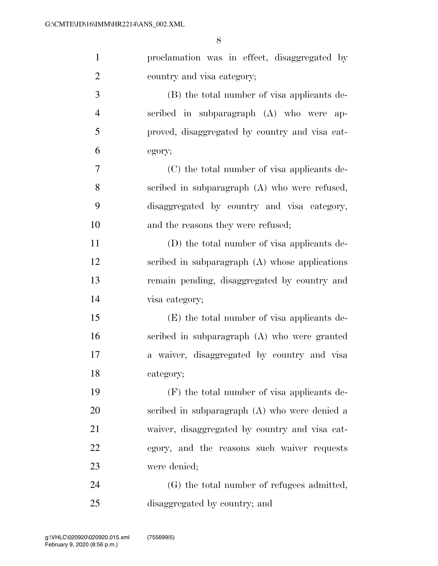| $\mathbf{1}$   | proclamation was in effect, disaggregated by   |
|----------------|------------------------------------------------|
| $\overline{2}$ | country and visa category;                     |
| $\mathfrak{Z}$ | (B) the total number of visa applicants de-    |
| $\overline{4}$ | scribed in subparagraph (A) who were ap-       |
| 5              | proved, disaggregated by country and visa cat- |
| 6              | egory;                                         |
| 7              | (C) the total number of visa applicants de-    |
| 8              | scribed in subparagraph (A) who were refused,  |
| 9              | disaggregated by country and visa category,    |
| 10             | and the reasons they were refused;             |
| 11             | (D) the total number of visa applicants de-    |
| 12             | scribed in subparagraph (A) whose applications |
| 13             | remain pending, disaggregated by country and   |
| 14             | visa category;                                 |
| 15             | (E) the total number of visa applicants de-    |
| 16             | scribed in subparagraph (A) who were granted   |
| 17             | a waiver, disaggregated by country and visa    |
| 18             | category;                                      |
| 19             | $(F)$ the total number of visa applicants de-  |
| 20             | scribed in subparagraph (A) who were denied a  |
| 21             | waiver, disaggregated by country and visa cat- |
| 22             | egory, and the reasons such waiver requests    |
| 23             | were denied;                                   |
| 24             | (G) the total number of refugees admitted,     |
| 25             | disaggregated by country; and                  |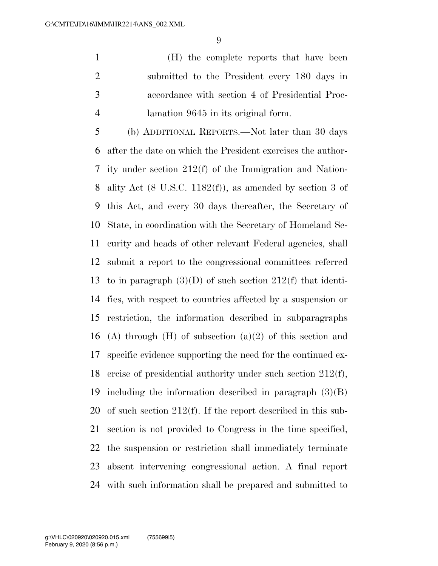(H) the complete reports that have been submitted to the President every 180 days in accordance with section 4 of Presidential Proc-lamation 9645 in its original form.

 (b) ADDITIONAL REPORTS.—Not later than 30 days after the date on which the President exercises the author- ity under section 212(f) of the Immigration and Nation- ality Act (8 U.S.C. 1182(f)), as amended by section 3 of this Act, and every 30 days thereafter, the Secretary of State, in coordination with the Secretary of Homeland Se- curity and heads of other relevant Federal agencies, shall submit a report to the congressional committees referred to in paragraph (3)(D) of such section 212(f) that identi- fies, with respect to countries affected by a suspension or restriction, the information described in subparagraphs 16 (A) through  $(H)$  of subsection  $(a)(2)$  of this section and specific evidence supporting the need for the continued ex- ercise of presidential authority under such section 212(f), including the information described in paragraph (3)(B) of such section 212(f). If the report described in this sub- section is not provided to Congress in the time specified, the suspension or restriction shall immediately terminate absent intervening congressional action. A final report with such information shall be prepared and submitted to